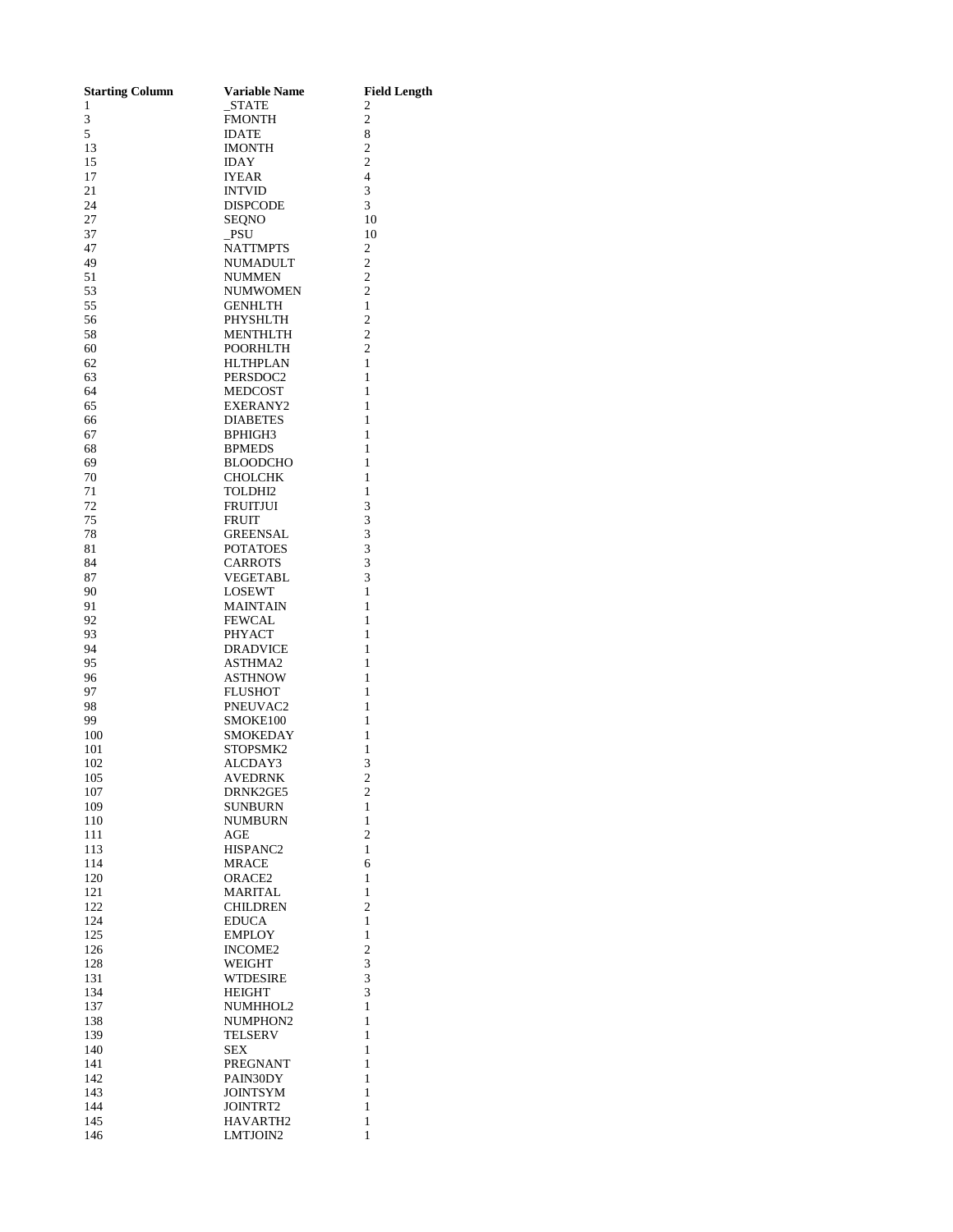| <b>Starting Column</b> | <b>Variable Name</b>      | <b>Field Length</b>              |
|------------------------|---------------------------|----------------------------------|
| 1<br>3                 | STATE<br>FMONTH           | 2<br>$\mathfrak{2}$              |
| 5                      | <b>IDATE</b>              | 8                                |
| 13                     | IMONTH                    | $\overline{2}$                   |
| 15                     | <b>IDAY</b>               | $\overline{2}$                   |
| 17                     | <b>IYEAR</b>              | $\overline{4}$                   |
| 21                     | <b>INTVID</b>             | 3                                |
| 24                     | DISPCODE                  | 3                                |
| 27                     | <b>SEQNO</b>              | 10                               |
| 37                     | PSU                       | 10                               |
| 47                     | <b>NATTMPTS</b>           | $\mathfrak{2}$                   |
| 49<br>51               | NUMADULT                  | $\overline{c}$<br>$\overline{c}$ |
| 53                     | <b>NUMMEN</b><br>NUMWOMEN | $\overline{c}$                   |
| 55                     | <b>GENHLTH</b>            | $\mathbf{1}$                     |
| 56                     | PHYSHLTH                  | $\mathfrak{2}$                   |
| 58                     | MENTHLTH                  | $\overline{c}$                   |
| 60                     | POORHLTH                  | $\overline{2}$                   |
| 62                     | HLTHPLAN                  | 1                                |
| 63                     | PERSDOC2                  | 1                                |
| 64                     | <b>MEDCOST</b>            | 1                                |
| 65                     | EXERANY2                  | $\mathbf{1}$                     |
| 66<br>67               | DIABETES<br>BPHIGH3       | 1<br>1                           |
| 68                     | <b>BPMEDS</b>             | 1                                |
| 69                     | BLOODCHO                  | $\mathbf{1}$                     |
| 70                     | <b>CHOLCHK</b>            | $\mathbf{1}$                     |
| 71                     | TOLDHI2                   | $\mathbf{1}$                     |
| 72                     | <b>FRUITJUI</b>           | 3                                |
| 75                     | <b>FRUIT</b>              | 3                                |
| 78                     | <b>GREENSAL</b>           | 3                                |
| 81                     | POTATOES                  | 3                                |
| 84                     | <b>CARROTS</b>            | $\overline{3}$<br>3              |
| 87<br>90               | VEGETABL<br><b>LOSEWT</b> | $\mathbf{1}$                     |
| 91                     | <b>MAINTAIN</b>           | 1                                |
| 92                     | <b>FEWCAL</b>             | $\mathbf{1}$                     |
| 93                     | PHYACT                    | 1                                |
| 94                     | <b>DRADVICE</b>           | 1                                |
| 95                     | ASTHMA2                   | 1                                |
| 96                     | <b>ASTHNOW</b>            | 1                                |
| 97                     | <b>FLUSHOT</b>            | 1                                |
| 98                     | PNEUVAC2                  | 1                                |
| 99<br>100              | SMOKE100<br>SMOKEDAY      | 1<br>1                           |
| 101                    | STOPSMK2                  | 1                                |
| 102                    | ALCDAY3                   | 3                                |
| 105                    | <b>AVEDRNK</b>            | $\overline{\mathbf{c}}$          |
| 107                    | DRNK2GE5                  | 2                                |
| 109                    | SUNBURN                   | 1                                |
| 110                    | <b>NUMBURN</b>            | 1                                |
| 111                    | AGE                       | $\overline{2}$                   |
| 113                    | HISPANC2                  | 1                                |
| 114                    | <b>MRACE</b>              | 6<br>1                           |
| 120<br>121             | ORACE2<br>MARITAL         | 1                                |
| 122                    | <b>CHILDREN</b>           | $\overline{c}$                   |
| 124                    | <b>EDUCA</b>              | 1                                |
| 125                    | <b>EMPLOY</b>             | 1                                |
| 126                    | <b>INCOME2</b>            | $\overline{c}$                   |
| 128                    | WEIGHT                    | 3                                |
| 131                    | WTDESIRE                  | 3                                |
| 134                    | <b>HEIGHT</b>             | 3                                |
| 137                    | NUMHHOL2                  | 1                                |
| 138<br>139             | NUMPHON2<br>TELSERV       | 1<br>1                           |
| 140                    | SEX                       | $\mathbf{1}$                     |
| 141                    | PREGNANT                  | 1                                |
| 142                    | PAIN30DY                  | 1                                |
| 143                    | JOINTSYM                  | 1                                |
| 144                    | JOINTRT2                  | 1                                |
| 145                    | HAVARTH2                  | 1                                |
| 146                    | LMTJOIN2                  | 1                                |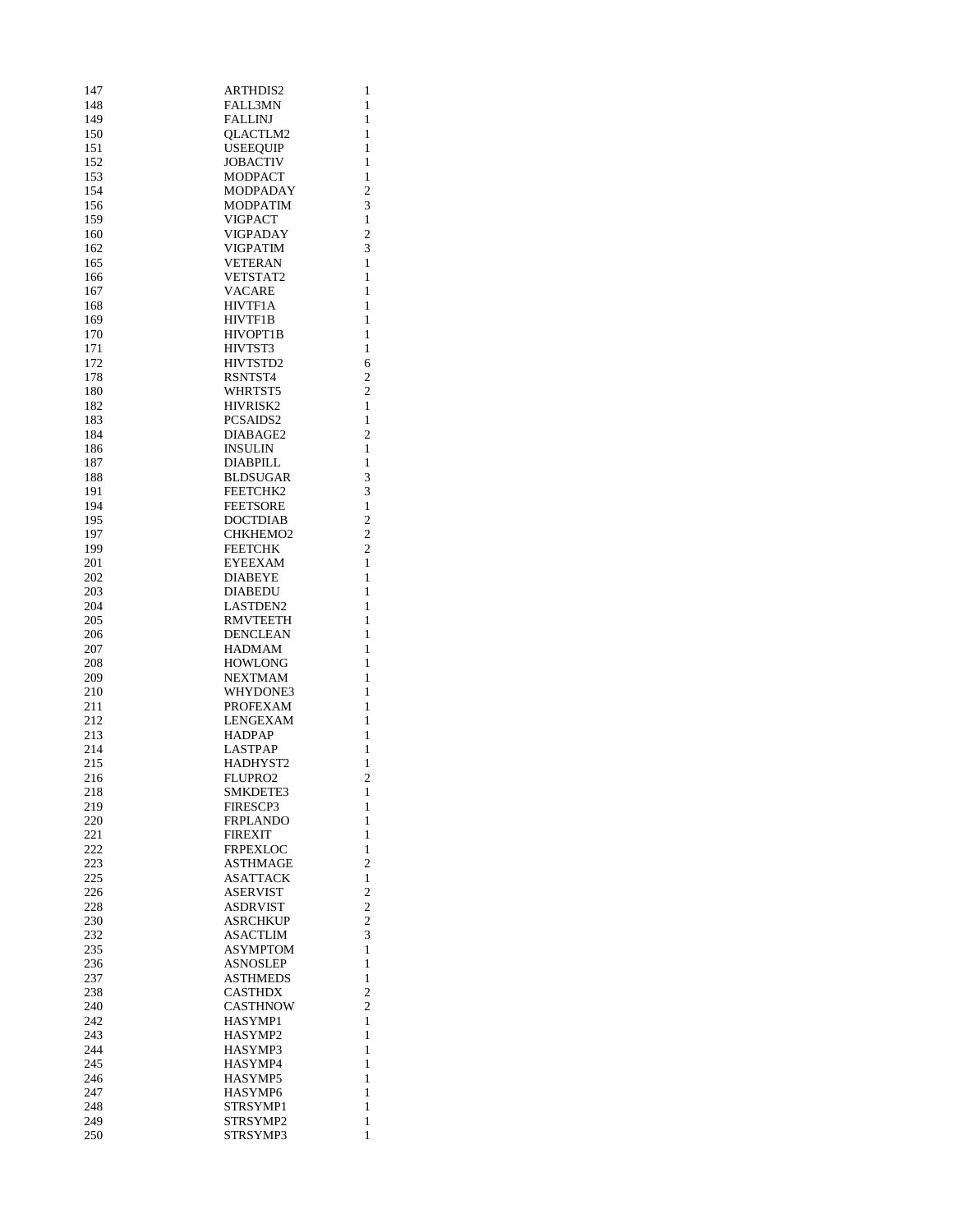| 147        | <b>ARTHDIS2</b>                   | 1                       |
|------------|-----------------------------------|-------------------------|
| 148        | <b>FALL3MN</b>                    | 1                       |
| 149<br>150 | <b>FALLINJ</b><br><b>OLACTLM2</b> | 1<br>1                  |
| 151        | <b>USEEQUIP</b>                   | 1                       |
| 152        | <b>JOBACTIV</b>                   | 1                       |
| 153        | <b>MODPACT</b>                    | $\mathbf{1}$            |
| 154        | <b>MODPADAY</b>                   | $\overline{2}$          |
| 156        | MODPATIM                          | 3                       |
| 159        | VIGPACT                           | 1                       |
| 160        | VIGPADAY<br><b>VIGPATIM</b>       | $\overline{c}$          |
| 162<br>165 | <b>VETERAN</b>                    | 3<br>1                  |
| 166        | VETSTAT2                          | 1                       |
| 167        | <b>VACARE</b>                     | $\mathbf{1}$            |
| 168        | <b>HIVTF1A</b>                    | 1                       |
| 169        | HIVTF1B                           | 1                       |
| 170        | HIVOPT1B                          | 1                       |
| 171        | HIVTST3                           | 1                       |
| 172<br>178 | HIVTSTD2                          | 6<br>$\overline{c}$     |
| 180        | RSNTST4<br>WHRTST5                | 2                       |
| 182        | HIVRISK2                          | 1                       |
| 183        | PCSAIDS2                          | 1                       |
| 184        | DIABAGE2                          | 2                       |
| 186        | <b>INSULIN</b>                    | 1                       |
| 187        | DIABPILL                          | 1                       |
| 188        | <b>BLDSUGAR</b>                   | 3                       |
| 191<br>194 | FEETCHK2<br><b>FEETSORE</b>       | 3<br>$\mathbf{1}$       |
| 195        | <b>DOCTDIAB</b>                   | $\overline{2}$          |
| 197        | CHKHEMO <sub>2</sub>              | $\overline{c}$          |
| 199        | <b>FEETCHK</b>                    | $\overline{c}$          |
| 201        | <b>EYEEXAM</b>                    | 1                       |
| 202        | <b>DIABEYE</b>                    | 1                       |
| 203        | <b>DIABEDU</b>                    | 1                       |
| 204        | <b>LASTDEN2</b>                   | 1                       |
| 205<br>206 | <b>RMVTEETH</b><br>DENCLEAN       | 1<br>1                  |
| 207        | <b>HADMAM</b>                     | 1                       |
| 208        | <b>HOWLONG</b>                    | 1                       |
| 209        | <b>NEXTMAM</b>                    | 1                       |
| 210        | WHYDONE3                          | 1                       |
| 211        | PROFEXAM                          | 1                       |
| 212        | <b>LENGEXAM</b>                   | $\mathbf{1}$            |
| 213<br>214 | <b>HADPAP</b><br><b>LASTPAP</b>   | 1<br>1                  |
| 215        | HADHYST2                          | 1                       |
| 216        | FLUPRO2                           | $\overline{\mathbf{c}}$ |
| 218        | SMKDETE3                          | 1                       |
| 219        | <b>FIRESCP3</b>                   | 1                       |
| 220        | <b>FRPLANDO</b>                   | 1                       |
| 221        | <b>FIREXIT</b>                    | 1                       |
| 222<br>223 | <b>FRPEXLOC</b><br>ASTHMAGE       | $\mathbf{1}$<br>2       |
| 225        | ASATTACK                          | 1                       |
| 226        | <b>ASERVIST</b>                   | $\overline{2}$          |
| 228        | <b>ASDRVIST</b>                   | $\overline{c}$          |
| 230        | ASRCHKUP                          | $\overline{c}$          |
| 232        | <b>ASACTLIM</b>                   | 3                       |
| 235        | ASYMPTOM                          | 1                       |
| 236        | ASNOSLEP<br><b>ASTHMEDS</b>       | 1                       |
| 237<br>238 | CASTHDX                           | 1<br>$\overline{2}$     |
| 240        | CASTHNOW                          | 2                       |
| 242        | HASYMP1                           | 1                       |
| 243        | HASYMP2                           | 1                       |
| 244        | HASYMP3                           | 1                       |
| 245        | HASYMP4                           | 1                       |
| 246        | HASYMP5                           | 1                       |
| 247<br>248 | HASYMP6<br>STRSYMP1               | 1<br>1                  |
| 249        | STRSYMP2                          | 1                       |
| 250        | STRSYMP3                          | 1                       |
|            |                                   |                         |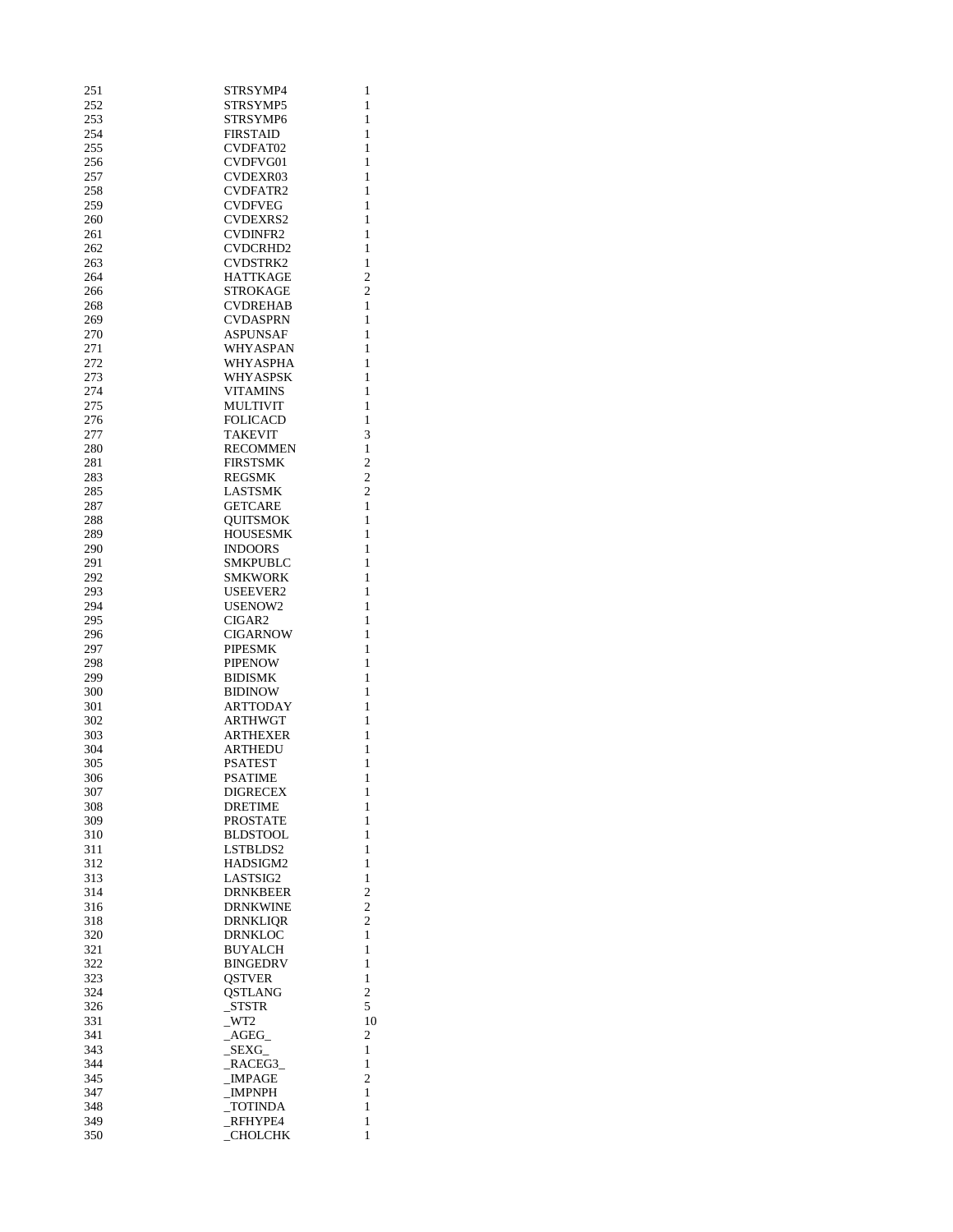| 251        | STRSYMP4                     | 1                            |
|------------|------------------------------|------------------------------|
| 252        | STRSYMP5                     | $\mathbf{1}$                 |
| 253        | STRSYMP6                     | 1                            |
| 254<br>255 | <b>FIRSTAID</b><br>CVDFAT02  | $\mathbf{1}$<br>1            |
| 256        | CVDFVG01                     | 1                            |
| 257        | <b>CVDEXR03</b>              | 1                            |
| 258        | CVDFATR2                     | $\mathbf{1}$                 |
| 259        | <b>CVDFVEG</b>               | $\mathbf{1}$                 |
| 260        | <b>CVDEXRS2</b>              | 1                            |
| 261        | <b>CVDINFR2</b>              | $\mathbf{1}$                 |
| 262        | CVDCRHD2                     | 1                            |
| 263        | CVDSTRK2                     | $\mathbf{1}$                 |
| 264        | <b>HATTKAGE</b>              | $\overline{c}$               |
| 266        | <b>STROKAGE</b>              | $\overline{c}$               |
| 268        | <b>CVDREHAB</b>              | 1                            |
| 269        | CVDASPRN                     | 1                            |
| 270<br>271 | ASPUNSAF                     | $\mathbf{1}$<br>$\mathbf{1}$ |
| 272        | WHYASPAN<br>WHYASPHA         | $\mathbf{1}$                 |
| 273        | WHYASPSK                     | 1                            |
| 274        | <b>VITAMINS</b>              | 1                            |
| 275        | <b>MULTIVIT</b>              | $\mathbf{1}$                 |
| 276        | <b>FOLICACD</b>              | $\mathbf{1}$                 |
| 277        | <b>TAKEVIT</b>               | 3                            |
| 280        | <b>RECOMMEN</b>              | $\mathbf{1}$                 |
| 281        | <b>FIRSTSMK</b>              | 2                            |
| 283        | <b>REGSMK</b>                | $\overline{2}$               |
| 285        | LASTSMK                      | $\overline{c}$               |
| 287        | <b>GETCARE</b>               | 1                            |
| 288<br>289 | <b>OUITSMOK</b>              | 1<br>$\mathbf{1}$            |
| 290        | HOUSESMK<br><b>INDOORS</b>   | $\mathbf{1}$                 |
| 291        | SMKPUBLC                     | $\mathbf{1}$                 |
| 292        | SMKWORK                      | 1                            |
| 293        | USEEVER2                     | 1                            |
| 294        | USENOW2                      | 1                            |
| 295        | CIGAR2                       | 1                            |
| 296        | <b>CIGARNOW</b>              | 1                            |
| 297        | <b>PIPESMK</b>               | 1                            |
| 298        | <b>PIPENOW</b>               | $\mathbf{1}$                 |
| 299<br>300 | <b>BIDISMK</b>               | $\mathbf{1}$                 |
| 301        | <b>BIDINOW</b><br>ARTTODAY   | 1<br>1                       |
| 302        | <b>ARTHWGT</b>               | $\mathbf{1}$                 |
| 303        | ARTHEXER                     | 1                            |
| 304        | <b>ARTHEDU</b>               | $\mathbf{1}$                 |
| 305        | <b>PSATEST</b>               | 1                            |
| 306        | <b>PSATIME</b>               | 1                            |
| 307        | DIGRECEX                     | 1                            |
| 308        | <b>DRETIME</b>               | 1                            |
| 309        | PROSTATE                     | 1                            |
| 310        | <b>BLDSTOOL</b>              | 1                            |
| 311<br>312 | LSTBLDS2<br>HADSIGM2         | 1<br>$\mathbf{1}$            |
| 313        | LASTSIG2                     | 1                            |
| 314        | DRNKBEER                     | 2                            |
| 316        | DRNKWINE                     | $\overline{2}$               |
| 318        | DRNKLIQR                     | 2                            |
| 320        | DRNKLOC                      | 1                            |
| 321        | BUYALCH                      | 1                            |
| 322        | <b>BINGEDRV</b>              | 1                            |
| 323        | <b>QSTVER</b>                | 1                            |
| 324        | <b>QSTLANG</b>               | $\overline{c}$               |
| 326<br>331 | _STSTR<br>$_WT2$             | 5<br>10                      |
| 341        | $\overline{\text{AGEG}}_{-}$ | 2                            |
| 343        | SEXG                         | 1                            |
| 344        | RACEG3                       | 1                            |
| 345        | <b>IMPAGE</b>                | 2                            |
| 347        | _IMPNPH                      | 1                            |
| 348        | _TOTINDA                     | 1                            |
| 349        | RFHYPE4                      | 1                            |
| 350        | <b>CHOLCHK</b>               | 1                            |